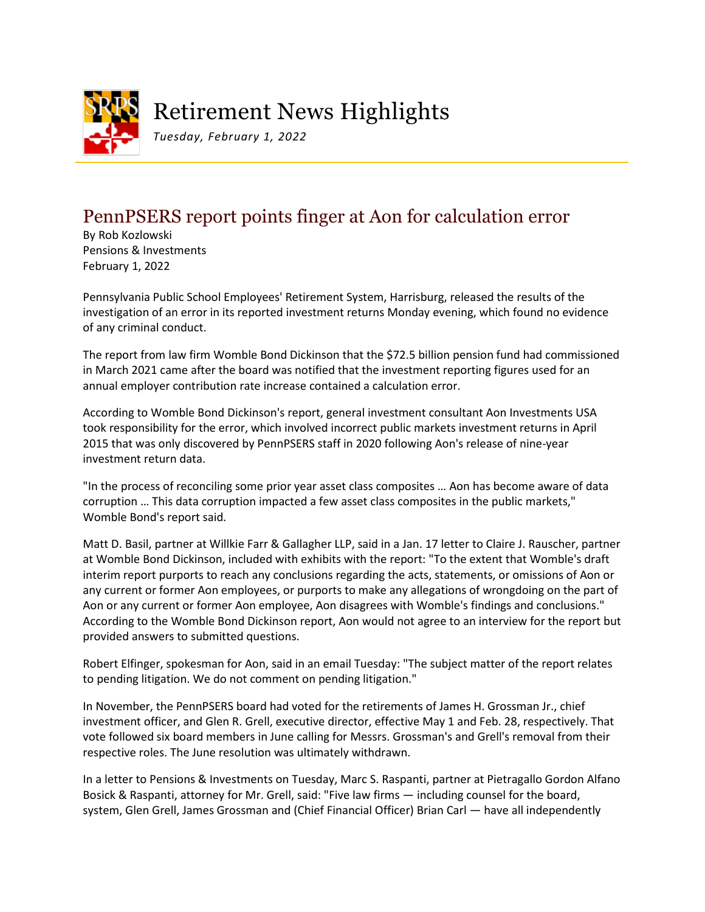

## Retirement News Highlights

*Tuesday, February 1, 2022*

## PennPSERS report points finger at Aon for calculation error

By Rob Kozlowski Pensions & Investments February 1, 2022

Pennsylvania Public School Employees' Retirement System, Harrisburg, released the results of the investigation of an error in its reported investment returns Monday evening, which found no evidence of any criminal conduct.

The report from law firm Womble Bond Dickinson that the \$72.5 billion pension fund had commissioned in March 2021 came after the board was notified that the investment reporting figures used for an annual employer contribution rate increase contained a calculation error.

According to Womble Bond Dickinson's report, general investment consultant Aon Investments USA took responsibility for the error, which involved incorrect public markets investment returns in April 2015 that was only discovered by PennPSERS staff in 2020 following Aon's release of nine-year investment return data.

"In the process of reconciling some prior year asset class composites … Aon has become aware of data corruption … This data corruption impacted a few asset class composites in the public markets," Womble Bond's report said.

Matt D. Basil, partner at Willkie Farr & Gallagher LLP, said in a Jan. 17 letter to Claire J. Rauscher, partner at Womble Bond Dickinson, included with exhibits with the report: "To the extent that Womble's draft interim report purports to reach any conclusions regarding the acts, statements, or omissions of Aon or any current or former Aon employees, or purports to make any allegations of wrongdoing on the part of Aon or any current or former Aon employee, Aon disagrees with Womble's findings and conclusions." According to the Womble Bond Dickinson report, Aon would not agree to an interview for the report but provided answers to submitted questions.

Robert Elfinger, spokesman for Aon, said in an email Tuesday: "The subject matter of the report relates to pending litigation. We do not comment on pending litigation."

In November, the PennPSERS board had voted for the retirements of James H. Grossman Jr., chief investment officer, and Glen R. Grell, executive director, effective May 1 and Feb. 28, respectively. That vote followed six board members in June calling for Messrs. Grossman's and Grell's removal from their respective roles. The June resolution was ultimately withdrawn.

In a letter to Pensions & Investments on Tuesday, Marc S. Raspanti, partner at Pietragallo Gordon Alfano Bosick & Raspanti, attorney for Mr. Grell, said: "Five law firms — including counsel for the board, system, Glen Grell, James Grossman and (Chief Financial Officer) Brian Carl — have all independently